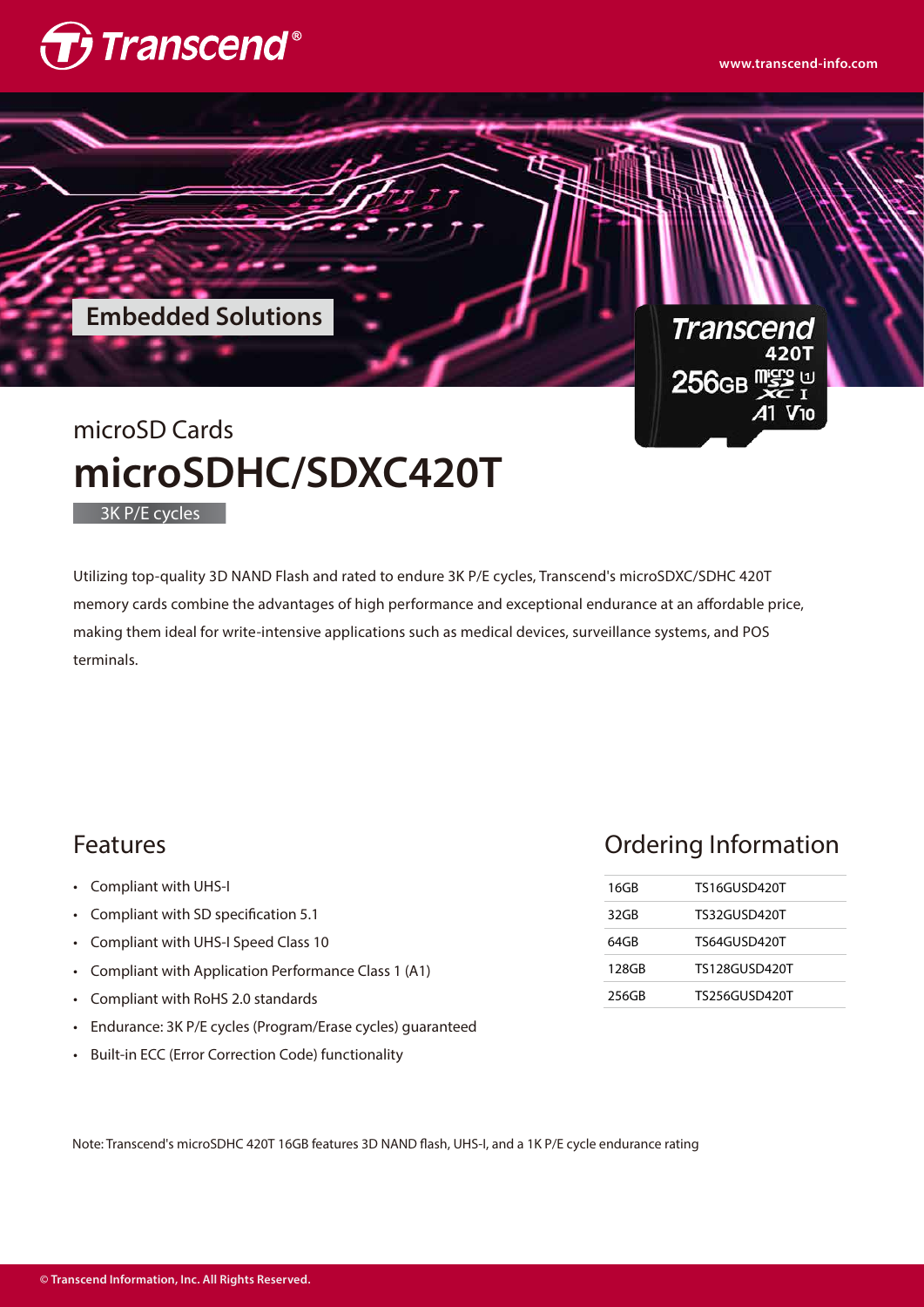

**www.transcend-info.com**



Utilizing top-quality 3D NAND Flash and rated to endure 3K P/E cycles, Transcend's microSDXC/SDHC 420T memory cards combine the advantages of high performance and exceptional endurance at an affordable price, making them ideal for write-intensive applications such as medical devices, surveillance systems, and POS terminals.

## Features

Compliant with UHS-I •

3K P/E cycles

- Compliant with SD specification 5.1 •
- Compliant with UHS-I Speed Class 10 •
- Compliant with Application Performance Class 1 (A1) •
- Compliant with RoHS 2.0 standards •
- Endurance: 3K P/E cycles (Program/Erase cycles) guaranteed •
- Built-in ECC (Error Correction Code) functionality •

## Ordering Information

| 16GB  | TS16GUSD420T         |  |
|-------|----------------------|--|
| 32GB  | TS32GUSD420T         |  |
| 64GB  | TS64GUSD420T         |  |
| 128GB | <b>TS128GUSD420T</b> |  |
| 256GB | TS256GUSD420T        |  |

Note: Transcend's microSDHC 420T 16GB features 3D NAND flash, UHS-I, and a 1K P/E cycle endurance rating